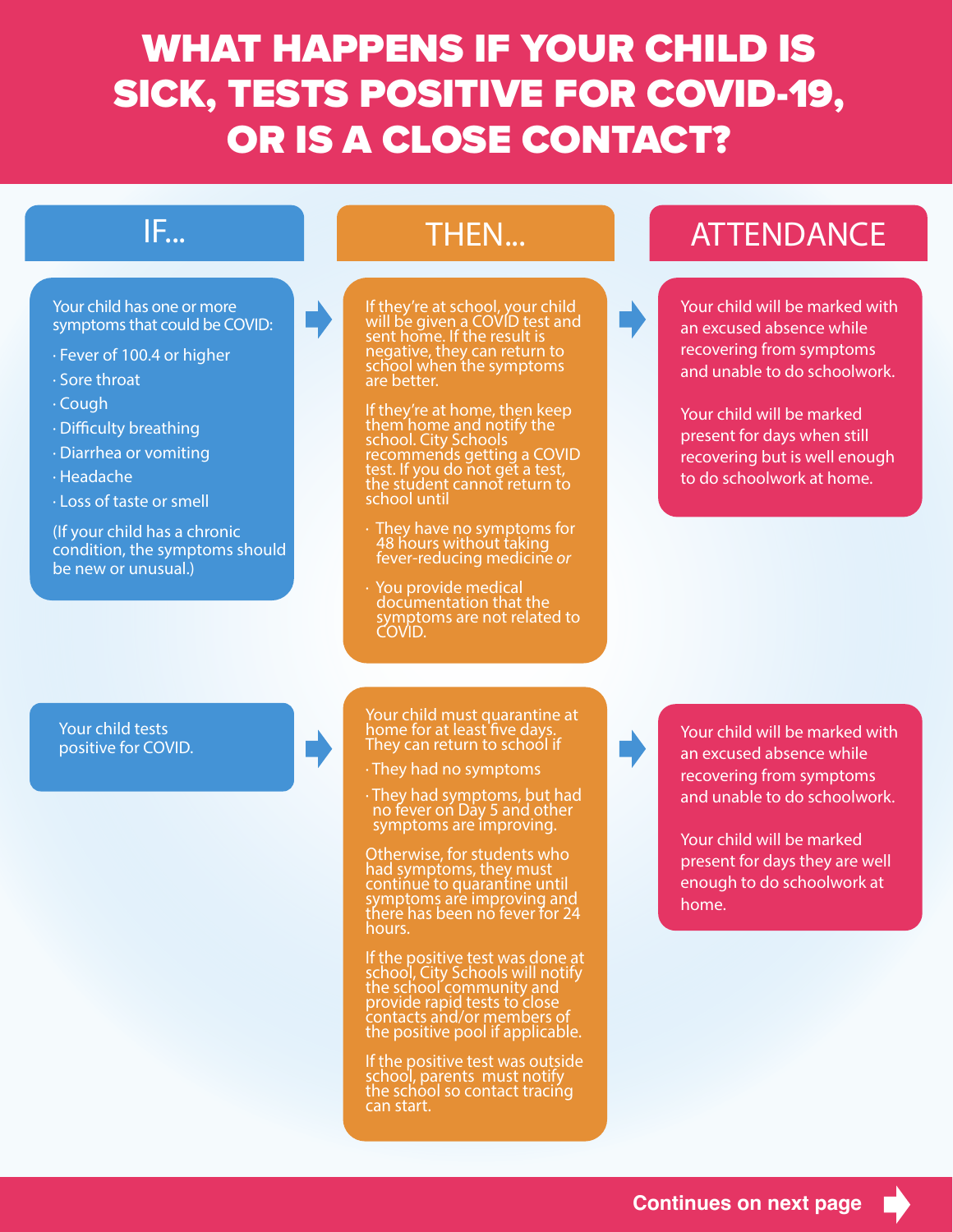## WHAT HAPPENS IF YOUR CHILD IS SICK, TESTS POSITIVE FOR COVID-19, OR IS A CLOSE CONTACT?



Your child tests positive for COVID.

home for at least five day notify can retain to sensor not Your child must quarantine at home for at least<sup>'</sup>five days.<br>They can return to school if

 $\cdot$  They had no symptoms

 $\cdot$  They had symptoms, but hat symptoms are im · They had symptoms, but ha · They had symptoms, but had<br>no fever on Day 5 and other<br>symptoms are improving. symptoms are improving.

 $\sim$  Any size  $\sim$  Any siblings  $\sim$ **bullet wise, for students w**<br>had symptoms they must continue to quarantine until symptoms are improving a<br>There has been no fever to whours. The provide guidance on  $\mathbb{R}^n$ **DUTE WISE, TOT SUGGETTS W**<br>had symptoms they must hours. Your child tests<br>positive for COVID.<br>They can return to school if<br>one for at least five days.<br>They can return to school if<br> $\cdot$  They had no symptoms, but had<br>no fever on Day 5 and other<br>symptoms are improving.<br>Otherwise, f Otherwise, for students who had symptoms, they must contińue to quarantine until<br>symptoms are improving and there has been no fever for 24

If the nositive test school, City Schools will notify If the positive test was done at school, City Schools will notify the school community and provide rapid tests to close contacts and/or members of the positive pool if applicable.

If the positive test was outside school, parents must notify the school so contact tracińg can start.

Your child will be marked with an excused absence while recovering from symptoms and unable to do schoolwork.

Your child will be marked present for days they are well enough to do schoolwork at home.